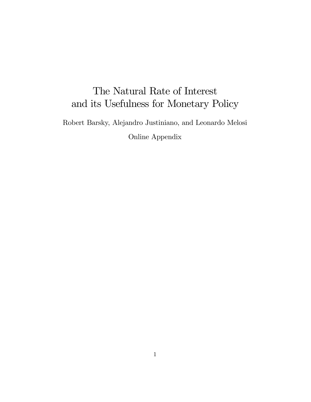# The Natural Rate of Interest and its Usefulness for Monetary Policy

Robert Barsky, Alejandro Justiniano, and Leonardo Melosi

Online Appendix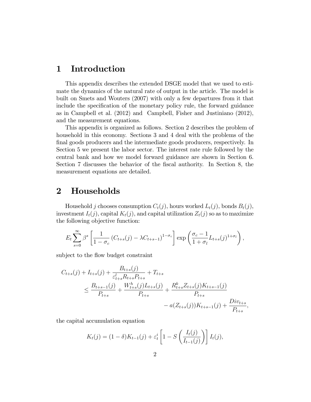### 1 Introduction

This appendix describes the extended DSGE model that we used to estimate the dynamics of the natural rate of output in the article. The model is built on Smets and Wouters (2007) with only a few departures from it that include the specification of the monetary policy rule, the forward guidance as in Campbell et al. (2012) and Campbell, Fisher and Justiniano (2012), and the measurement equations.

This appendix is organized as follows. Section 2 describes the problem of household in this economy. Sections 3 and 4 deal with the problems of the final goods producers and the intermediate goods producers, respectively. In Section 5 we present the labor sector. The interest rate rule followed by the central bank and how we model forward guidance are shown in Section 6. Section 7 discusses the behavior of the Öscal authority. In Section 8, the measurement equations are detailed.

### 2 Households

Household j chooses consumption  $C_t(j)$ , hours worked  $L_t(j)$ , bonds  $B_t(j)$ , investment  $I_t(j)$ , capital  $K_t(j)$ , and capital utilization  $Z_t(j)$  so as to maximize the following objective function:

$$
E_t \sum_{s=0}^{\infty} \beta^s \left[ \frac{1}{1-\sigma_c} \left( C_{t+s}(j) - \lambda C_{t+s-1} \right)^{1-\sigma_c} \right] \exp \left( \frac{\sigma_c - 1}{1+\sigma_l} L_{t+s}(j)^{1+\sigma_l} \right),
$$

subject to the flow budget constraint

$$
C_{t+s}(j) + I_{t+s}(j) + \frac{B_{t+s}(j)}{\varepsilon_{t+s}^l R_{t+s} P_{t+s}} + T_{t+s}
$$
  
\n
$$
\leq \frac{B_{t+s-1}(j)}{P_{t+s}} + \frac{W_{t+s}^h(j)L_{t+s}(j)}{P_{t+s}} + \frac{R_{t+s}^k Z_{t+s}(j)K_{t+s-1}(j)}{P_{t+s}}
$$
  
\n
$$
- a(Z_{t+s}(j))K_{t+s-1}(j) + \frac{Div_{t+s}}{P_{t+s}},
$$

the capital accumulation equation

$$
K_t(j) = (1 - \delta)K_{t-1}(j) + \varepsilon_t^i \left[1 - S\left(\frac{I_t(j)}{I_{t-1}(j)}\right)\right]I_t(j),
$$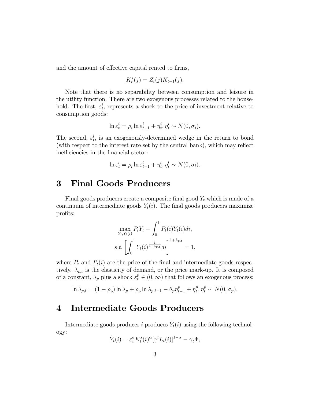and the amount of effective capital rented to firms,

$$
K_t^s(j) = Z_t(j)K_{t-1}(j).
$$

Note that there is no separability between consumption and leisure in the utility function. There are two exogenous processes related to the household. The first,  $\varepsilon_t^i$ , represents a shock to the price of investment relative to consumption goods:

$$
\ln \varepsilon_t^i = \rho_i \ln \varepsilon_{t-1}^i + \eta_t^i, \eta_t^i \sim N(0, \sigma_i).
$$

The second,  $\varepsilon_t^l$ , is an exogenously-determined wedge in the return to bond (with respect to the interest rate set by the central bank), which may reflect inefficiencies in the financial sector:

$$
\ln \varepsilon_t^l = \rho_l \ln \varepsilon_{t-1}^l + \eta_t^l, \eta_t^l \sim N(0, \sigma_l).
$$

#### **Final Goods Producers**  $\bf{3}$

Final goods producers create a composite final good  $Y_t$  which is made of a continuum of intermediate goods  $Y_t(i)$ . The final goods producers maximize profits:

$$
\max_{Y_t, Y_t(i)} P_t Y_t - \int_0^1 P_t(i) Y_t(i) di,
$$
  
s.t. 
$$
\left[ \int_0^1 Y_t(i)^{\frac{1}{1 + \lambda_{p,t}}} di \right]^{1 + \lambda_{p,t}} = 1,
$$

where  $P_t$  and  $P_t(i)$  are the price of the final and intermediate goods respectively.  $\lambda_{p,t}$  is the elasticity of demand, or the price mark-up. It is composed of a constant,  $\lambda_p$  plus a shock  $\varepsilon_t^p \in (0,\infty)$  that follows an exogenous process:

$$
\ln \lambda_{p,t} = (1 - \rho_p) \ln \lambda_p + \rho_p \ln \lambda_{p,t-1} - \theta_p \eta_{t-1}^p + \eta_t^p, \eta_t^p \sim N(0, \sigma_p).
$$

#### **Intermediate Goods Producers**  $\boldsymbol{4}$

Intermediate goods producer i produces  $Y_t(i)$  using the following technology:

$$
\dot{Y}_t(i) = \varepsilon_t^a K_t^s(i)^\alpha [\gamma^t L_t(i)]^{1-\alpha} - \gamma_t \Phi,
$$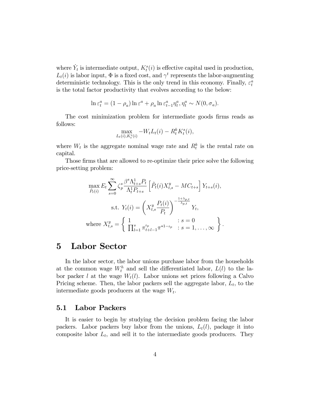where  $\dot{Y}_t$  is intermediate output,  $K_t^s(i)$  is effective capital used in production,  $L_t(i)$  is labor input,  $\Phi$  is a fixed cost, and  $\gamma^t$  represents the labor-augmenting deterministic technology. This is the only trend in this economy. Finally,  $\varepsilon_t^a$ is the total factor productivity that evolves according to the below:

$$
\ln \varepsilon_t^a = (1 - \rho_a) \ln \varepsilon^a + \rho_a \ln \varepsilon_{t-1}^a \eta_t^a, \eta_t^a \sim N(0, \sigma_a).
$$

The cost minimization problem for intermediate goods firms reads as follows:

$$
\max_{L_t(i), K_t^s(i)} -W_t L_t(i) - R_t^k K_t^s(i),
$$

where  $W_t$  is the aggregate nominal wage rate and  $R_t^k$  is the rental rate on capital.

Those firms that are allowed to re-optimize their price solve the following price-setting problem:

$$
\max_{\tilde{P}_t(i)} E_t \sum_{s=0}^{\infty} \zeta_p^s \frac{\beta^s \Lambda_{t+s}^1 P_t}{\Lambda_t^1 P_{t+s}} \left[ \tilde{P}_t(i) X_{t,s}^y - MC_{t+s} \right] Y_{t+s}(i),
$$
  
s.t.  $Y_t(i) = \left( X_{t,s}^y \frac{P_t(i)}{P_t} \right)^{-\frac{1+\lambda_{p,t}}{\lambda_{p,t}}} Y_t,$   
where  $X_{t,s}^y = \left\{ \begin{array}{ll} 1 & \colon s = 0 \\ \prod_{l=1}^s \pi_{t+l-1}^{t_p} \pi^{*1-t_p} & \colon s = 1, \dots, \infty \end{array} \right\}.$ 

## 5 Labor Sector

In the labor sector, the labor unions purchase labor from the households at the common wage  $W_t^h$  and sell the differentiated labor,  $L(l)$  to the labor packer l at the wage  $W_t(l)$ . Labor unions set prices following a Calvo Pricing scheme. Then, the labor packers sell the aggregate labor,  $L_t$ , to the intermediate goods producers at the wage  $W_t$ .

#### 5.1 Labor Packers

It is easier to begin by studying the decision problem facing the labor packers. Labor packers buy labor from the unions,  $L_t(l)$ , package it into composite labor  $L_t$ , and sell it to the intermediate goods producers. They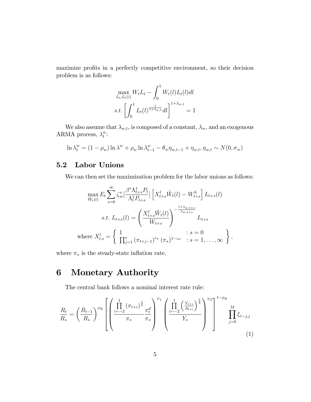maximize profits in a perfectly competitive environment, so their decision problem is as follows:

$$
\max_{L_t, L_t(i)} W_t L_t - \int_0^1 W_t(l) L_t(l) dl
$$
  
s.t. 
$$
\left[ \int_0^1 L_t(l)^{\frac{1}{1+\lambda_{w,t}}} dl \right]^{1+\lambda_{w,t}} = 1
$$

We also assume that  $\lambda_{w,t}$ , is composed of a constant,  $\lambda_w$ , and an exogenous ARMA process,  $\lambda_t^w$  $_{t}^{w}.$ 

$$
\ln \lambda_t^w = (1 - \rho_w) \ln \lambda^w + \rho_w \ln \lambda_{t-1}^w - \theta_w \eta_{w,t-1} + \eta_{w,t}, \eta_{w,t} \sim N(0, \sigma_w)
$$

#### 5.2 Labor Unions

We can then set the maximization problem for the labor unions as follows:

$$
\max_{\tilde{W}_t(l)} E_t \sum_{s=0}^{\infty} \zeta_w^s \left[ \frac{\beta^s \Lambda_{t+s}^1 P_t}{\Lambda_t^1 P_{t+s}} \right] \left[ X_{t+s}^l \tilde{W}_t(l) - W_{t+s}^h \right] L_{t+s}(l)
$$
\n
$$
s.t. L_{t+s}(l) = \left( \frac{X_{t+s}^l \tilde{W}_t(l)}{W_{t+s}} \right)^{-\frac{1+\lambda_{w,t+s}}{\lambda_{w,t+s}}} L_{t+s}
$$
\n
$$
\text{where } X_{t,s}^l = \left\{ \frac{1}{\prod_{j=1}^s (\pi_{t+j-1})^{\iota_w} (\pi_*)^{1-\iota_w}} : s = 0, \dots, \infty \right\},
$$

where  $\pi_*$  is the steady-state inflation rate.

## 6 Monetary Authority

The central bank follows a nominal interest rate rule:

$$
\frac{R_t}{R_*} = \left(\frac{R_{t-1}}{R_*}\right)^{\rho_R} \left[ \left(\frac{\prod_{i=-2}^1 (\pi_{t+i})^{\frac{1}{4}}}{\pi_*} \frac{\pi_t^d}{\pi_*}\right)^{\psi_1} \left(\frac{\prod_{i=-2}^1 \left(\frac{Y_{t+i}}{A_{t+i}}\right)^{\frac{1}{4}}}{Y_*}\right)^{\psi_2}\right]^{-1-\rho_R} \prod_{j=0}^M \xi_{t-j,j} \tag{1}
$$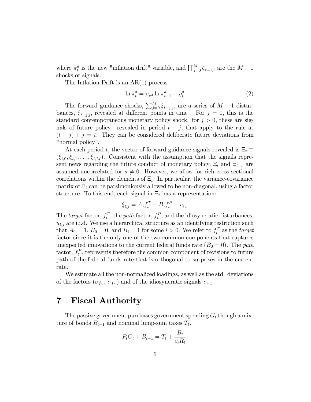where  $\pi_t^d$  is the new "inflation drift" variable, and  $\prod_{j=0}^M \zeta_{t-j,j}$  are the  $M+1$ shocks or signals.

The Inflation Drift is an  $AR(1)$  process:

$$
\ln \pi_t^d = \rho_{\pi^d} \ln \pi_{t-1}^d + \eta_t^d \tag{2}
$$

The forward guidance shocks,  $\sum_{j=0}^{M} \xi_{t-j,j}$ , are a series of  $M + 1$  disturbances,  $\xi_{t-j,i}$ , revealed at different points in time. For  $j = 0$ , this is the standard contemporaneous monetary policy shock. for  $j > 0$ , these are signals of future policy. revealed in period  $t - j$ , that apply to the rule at  $(t - j) + j = t$ . They can be considered deliberate future deviations from "normal policy".

At each period t, the vector of forward guidance signals revealed is  $\Xi_t \equiv$  $(\xi_{t,0}, \xi_{t,1}, \ldots, \xi_{t,M})$ . Consistent with the assumption that the signals represent news regarding the future conduct of monetary policy,  $\Xi_t$  and  $\Xi_{t-s}$  are assumed uncorrelated for  $s \neq 0$ . However, we allow for rich cross-sectional correlations within the elements of  $\Xi_t$ . In particular, the variance-covariance matrix of  $\Xi_t$  can be parsimoniously allowed to be non-diagonal, using a factor structure. To this end, each signal in  $\Xi_t$  has a representation:

$$
\xi_{t,j} = A_j f_t^T + B_j f_t^P + u_{t,j}
$$

The *target* factor,  $f_t^T$ , the *path* factor,  $f_t^P$ , and the idiosyncratic disturbances,  $u_{t,j}$  are i.i.d. We use a hierarchical structure as an identifying restriction such that  $A_0 = 1$ ,  $B_0 = 0$ , and  $B_i = 1$  for some  $i > 0$ . We refer to  $f_i^T$  as the target factor since it is the only one of the two common components that captures unexpected innovations to the current federal funds rate  $(B_0 = 0)$ . The path factor,  $f_t^P$ , represents therefore the common component of revisions to future path of the federal funds rate that is orthogonal to surprises in the current rate.

We estimate all the non-normalized loadings, as well as the std. deviations of the factors  $(\sigma_{fc}, \sigma_{f_F})$  and of the idiosyncratic signals  $\sigma_{u,j}$ .

### 7 Fiscal Authority

The passive government purchases government spending  $G_t$  though a mixture of bonds  $B_{t-1}$  and nominal lump-sum taxes  $T_t$ .

$$
P_t G_t + B_{t-1} = T_t + \frac{B_t}{\varepsilon_t^l R_t}.
$$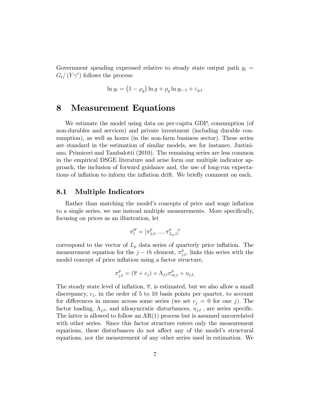Government spending expressed relative to steady state output path  $g_t =$  $G_t/(Y\gamma^t)$  follows the process:

$$
\ln g_t = \left(1 - \rho_g\right) \ln g + \rho_g \ln g_{t-1} + \varepsilon_{g,t}
$$

### 8 Measurement Equations

We estimate the model using data on per-capita GDP, consumption (of non-durables and services) and private investment (including durable consumption), as well as hours (in the non-farm business sector). These series are standard in the estimation of similar models, see for instance, Justiniano, Primiceri and Tambalotti (2010). The remaining series are less common in the empirical DSGE literature and arise form our multiple indicator approach, the inclusion of forward guidance and, the use of long-run expectations of inflation to inform the inflation drift. We briefly comment on each.

#### 8.1 Multiple Indicators

Rather than matching the model's concepts of price and wage inflation to a single series, we use instead multiple measurements. More specifically, focusing on prices as an illustration, let

$$
\pi^{p\prime}_t = [\pi^p_{1,t}, ..., \pi^p_{L_p,t}]'
$$

correspond to the vector of  $L_p$  data series of quarterly price inflation. The measurement equation for the  $j-th$  element,  $\pi_{j,t}^p$ , links this series with the model concept of price inflation using a factor structure,

$$
\pi_{j,t}^p = (\overline{\pi} + c_j) + \Lambda_{j,t} \pi_{m,t}^p + u_{j,t},
$$

The steady state level of inflation,  $\bar{\pi}$ , is estimated, but we also allow a small discrepancy,  $c_j$ , in the order of 5 to 10 basis points per quarter, to account for differences in means across some series (we set  $c_j = 0$  for one j). The factor loading,  $\Lambda_{j,t}$ , and idiosyncratic disturbances,  $u_{j,t}$ , are series specific. The latter is allowed to follow an  $AR(1)$  process but is assumed uncorrelated with other series. Since this factor structure enters only the measurement equations, these disturbances do not affect any of the model's structural equations, nor the measurement of any other series used in estimation. We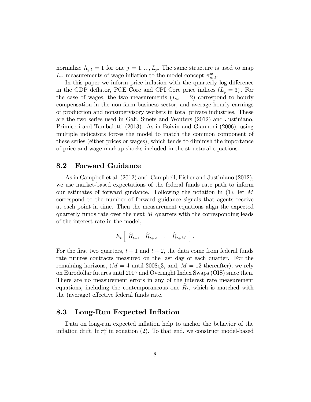normalize  $\Lambda_{j,t} = 1$  for one  $j = 1, ..., L_p$ . The same structure is used to map  $L_w$  measurements of wage inflation to the model concept  $\pi^w_{m,t}$ .

In this paper we inform price inflation with the quarterly log-difference in the GDP deflator, PCE Core and CPI Core price indices  $(L_p = 3)$ . For the case of wages, the two measurements  $(L_w = 2)$  correspond to hourly compensation in the non-farm business sector, and average hourly earnings of production and nonsupervisory workers in total private industries. These are the two series used in Gali, Smets and Wouters (2012) and Justiniano, Primiceri and Tambalotti (2013). As in Boivin and Giannoni (2006), using multiple indicators forces the model to match the common component of these series (either prices or wages), which tends to diminish the importance of price and wage markup shocks included in the structural equations.

#### 8.2 Forward Guidance

As in Campbell et al. (2012) and Campbell, Fisher and Justiniano (2012), we use market-based expectations of the federal funds rate path to inform our estimates of forward guidance. Following the notation in  $(1)$ , let M correspond to the number of forward guidance signals that agents receive at each point in time. Then the measurement equations align the expected quarterly funds rate over the next  $M$  quarters with the corresponding leads of the interest rate in the model,

$$
E_t\left[\begin{array}{cccc}\widehat{R}_{t+1} & \widehat{R}_{t+2} & \dots & \widehat{R}_{t+M}\end{array}\right].
$$

For the first two quarters,  $t + 1$  and  $t + 2$ , the data come from federal funds rate futures contracts measured on the last day of each quarter. For the remaining horizons,  $(M = 4 \text{ until } 2008q3$ , and,  $M = 12 \text{ thereafter}$ , we rely on Eurodollar futures until 2007 and Overnight Index Swaps (OIS) since then. There are no measurement errors in any of the interest rate measurement equations, including the contemporaneous one  $R_t$ , which is matched with the (average) effective federal funds rate.

#### 8.3 Long-Run Expected Inflation

Data on long-run expected inflation help to anchor the behavior of the inflation drift,  $\ln \pi_t^d$  in equation (2). To that end, we construct model-based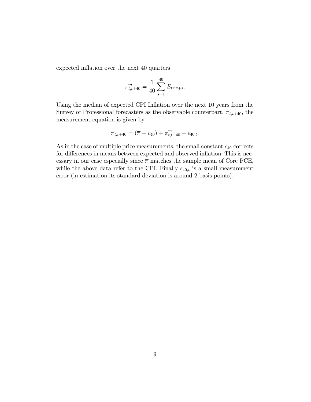expected inflation over the next 40 quarters

$$
\pi^m_{t,t+40} = \frac{1}{40} \sum_{s=1}^{40} E_t \pi_{t+s}.
$$

Using the median of expected CPI Inflation over the next 10 years from the Survey of Professional forecasters as the observable counterpart,  $\pi_{t,t+40}$ , the measurement equation is given by

$$
\pi_{t,t+40} = (\overline{\pi} + c_{40}) + \pi_{t,t+40}^m + \epsilon_{40,t}.
$$

As in the case of multiple price measurements, the small constant  $c_{40}$  corrects for differences in means between expected and observed inflation. This is necessary in our case especially since  $\bar{\pi}$  matches the sample mean of Core PCE, while the above data refer to the CPI. Finally  $\epsilon_{40,t}$  is a small measurement error (in estimation its standard deviation is around 2 basis points).